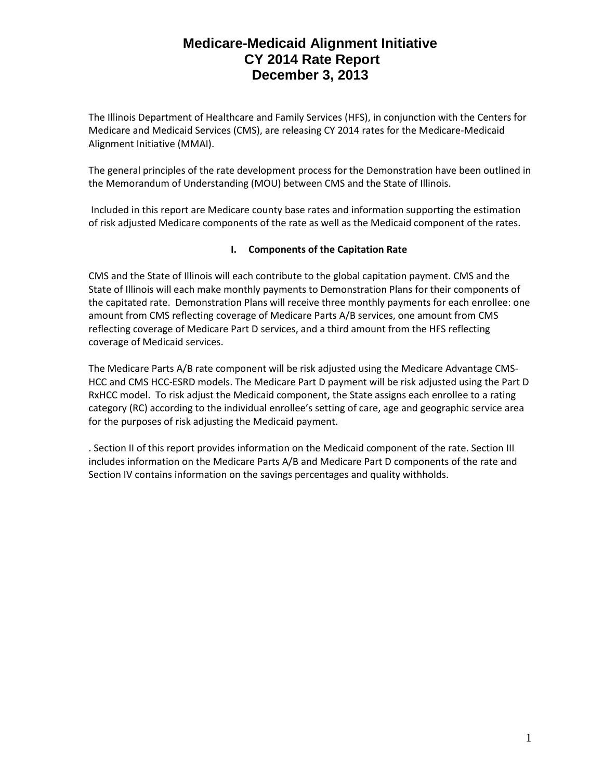The Illinois Department of Healthcare and Family Services (HFS), in conjunction with the Centers for Medicare and Medicaid Services (CMS), are releasing CY 2014 rates for the Medicare-Medicaid Alignment Initiative (MMAI).

The general principles of the rate development process for the Demonstration have been outlined in the Memorandum of Understanding (MOU) between CMS and the State of Illinois.

Included in this report are Medicare county base rates and information supporting the estimation of risk adjusted Medicare components of the rate as well as the Medicaid component of the rates.

#### **I. Components of the Capitation Rate**

CMS and the State of Illinois will each contribute to the global capitation payment. CMS and the State of Illinois will each make monthly payments to Demonstration Plans for their components of the capitated rate. Demonstration Plans will receive three monthly payments for each enrollee: one amount from CMS reflecting coverage of Medicare Parts A/B services, one amount from CMS reflecting coverage of Medicare Part D services, and a third amount from the HFS reflecting coverage of Medicaid services.

The Medicare Parts A/B rate component will be risk adjusted using the Medicare Advantage CMS-HCC and CMS HCC-ESRD models. The Medicare Part D payment will be risk adjusted using the Part D RxHCC model. To risk adjust the Medicaid component, the State assigns each enrollee to a rating category (RC) according to the individual enrollee's setting of care, age and geographic service area for the purposes of risk adjusting the Medicaid payment.

. Section II of this report provides information on the Medicaid component of the rate. Section III includes information on the Medicare Parts A/B and Medicare Part D components of the rate and Section IV contains information on the savings percentages and quality withholds.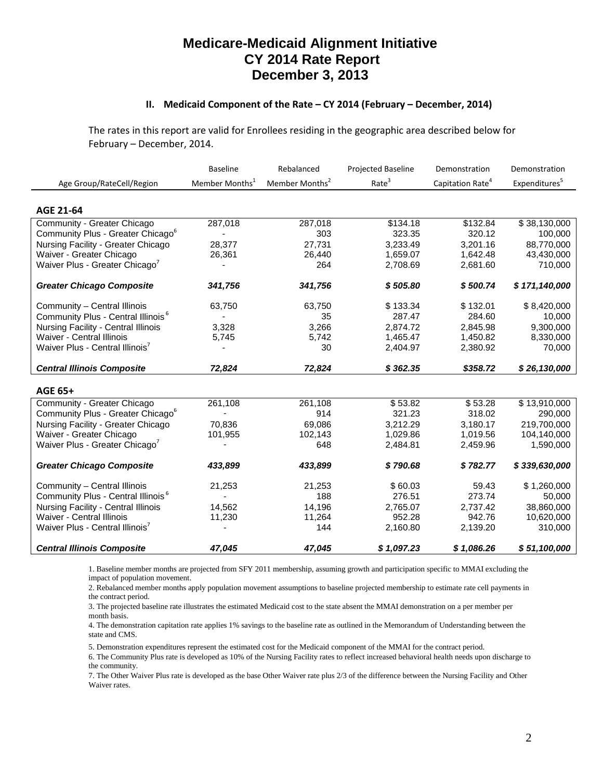#### **II. Medicaid Component of the Rate – CY 2014 (February – December, 2014)**

The rates in this report are valid for Enrollees residing in the geographic area described below for February – December, 2014.

|                                                | <b>Baseline</b>            | Rebalanced                 | <b>Projected Baseline</b> | Demonstration                | Demonstration             |
|------------------------------------------------|----------------------------|----------------------------|---------------------------|------------------------------|---------------------------|
| Age Group/RateCell/Region                      | Member Months <sup>1</sup> | Member Months <sup>2</sup> | Rate <sup>3</sup>         | Capitation Rate <sup>4</sup> | Expenditures <sup>5</sup> |
|                                                |                            |                            |                           |                              |                           |
| <b>AGE 21-64</b>                               |                            |                            |                           |                              |                           |
| Community - Greater Chicago                    | 287,018                    | 287,018                    | \$134.18                  | \$132.84                     | \$38,130,000              |
| Community Plus - Greater Chicago <sup>6</sup>  |                            | 303                        | 323.35                    | 320.12                       | 100,000                   |
| Nursing Facility - Greater Chicago             | 28,377                     | 27,731                     | 3,233.49                  | 3,201.16                     | 88,770,000                |
| Waiver - Greater Chicago                       | 26,361                     | 26,440                     | 1,659.07                  | 1,642.48                     | 43,430,000                |
| Waiver Plus - Greater Chicago <sup>7</sup>     |                            | 264                        | 2,708.69                  | 2,681.60                     | 710,000                   |
| <b>Greater Chicago Composite</b>               | 341,756                    | 341,756                    | \$505.80                  | \$500.74                     | \$171,140,000             |
| Community - Central Illinois                   | 63,750                     | 63,750                     | \$133.34                  | \$132.01                     | \$8,420,000               |
| Community Plus - Central Illinois <sup>6</sup> |                            | 35                         | 287.47                    | 284.60                       | 10,000                    |
| <b>Nursing Facility - Central Illinois</b>     | 3,328                      | 3,266                      | 2.874.72                  | 2.845.98                     | 9,300,000                 |
| <b>Waiver - Central Illinois</b>               | 5,745                      | 5,742                      | 1,465.47                  | 1,450.82                     | 8,330,000                 |
| Waiver Plus - Central Illinois'                |                            | 30                         | 2,404.97                  | 2,380.92                     | 70,000                    |
| <b>Central Illinois Composite</b>              | 72,824                     | 72,824                     | \$362.35                  | \$358.72                     | \$26,130,000              |
| <b>AGE 65+</b>                                 |                            |                            |                           |                              |                           |
| Community - Greater Chicago                    | 261,108                    | 261,108                    | \$53.82                   | \$53.28                      | \$13,910,000              |
| Community Plus - Greater Chicago <sup>6</sup>  |                            | 914                        | 321.23                    | 318.02                       | 290,000                   |
| Nursing Facility - Greater Chicago             | 70,836                     | 69,086                     | 3,212.29                  | 3,180.17                     | 219,700,000               |
| Waiver - Greater Chicago                       | 101,955                    | 102,143                    | 1,029.86                  | 1,019.56                     | 104,140,000               |
| Waiver Plus - Greater Chicago <sup>7</sup>     |                            | 648                        | 2,484.81                  | 2,459.96                     | 1,590,000                 |
| <b>Greater Chicago Composite</b>               | 433,899                    | 433,899                    | \$790.68                  | \$782.77                     | \$339,630,000             |
| Community - Central Illinois                   | 21,253                     | 21,253                     | \$60.03                   | 59.43                        | \$1,260,000               |
| Community Plus - Central Illinois <sup>6</sup> |                            | 188                        | 276.51                    | 273.74                       | 50,000                    |
| Nursing Facility - Central Illinois            | 14,562                     | 14,196                     | 2,765.07                  | 2,737.42                     | 38,860,000                |
| Waiver - Central Illinois                      | 11,230                     | 11,264                     | 952.28                    | 942.76                       | 10,620,000                |
| Waiver Plus - Central Illinois'                |                            | 144                        | 2,160.80                  | 2,139.20                     | 310,000                   |
| <b>Central Illinois Composite</b>              | 47,045                     | 47,045                     | \$1,097.23                | \$1,086.26                   | \$51,100,000              |

1. Baseline member months are projected from SFY 2011 membership, assuming growth and participation specific to MMAI excluding the impact of population movement.

2. Rebalanced member months apply population movement assumptions to baseline projected membership to estimate rate cell payments in the contract period.

3. The projected baseline rate illustrates the estimated Medicaid cost to the state absent the MMAI demonstration on a per member per month basis.

4. The demonstration capitation rate applies 1% savings to the baseline rate as outlined in the Memorandum of Understanding between the state and CMS.

5. Demonstration expenditures represent the estimated cost for the Medicaid component of the MMAI for the contract period.

6. The Community Plus rate is developed as 10% of the Nursing Facility rates to reflect increased behavioral health needs upon discharge to the community.

7. The Other Waiver Plus rate is developed as the base Other Waiver rate plus 2/3 of the difference between the Nursing Facility and Other Waiver rates.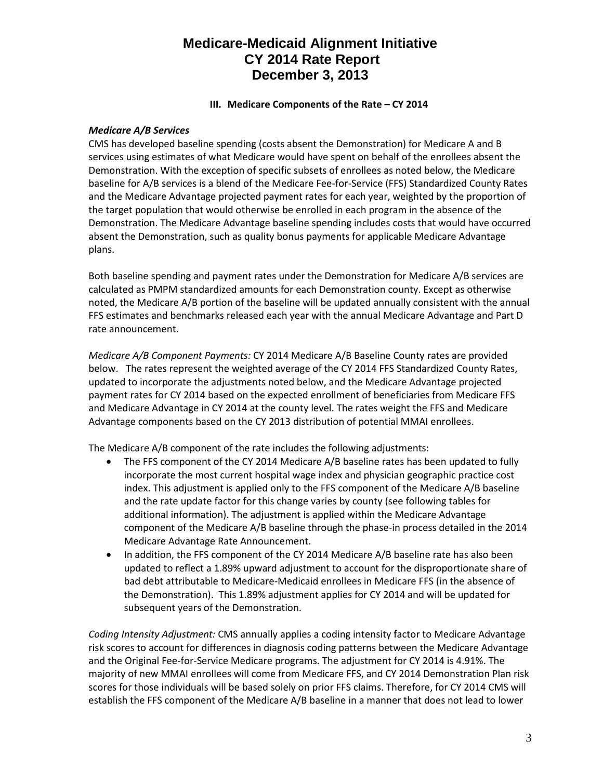#### **III. Medicare Components of the Rate – CY 2014**

#### *Medicare A/B Services*

CMS has developed baseline spending (costs absent the Demonstration) for Medicare A and B services using estimates of what Medicare would have spent on behalf of the enrollees absent the Demonstration. With the exception of specific subsets of enrollees as noted below, the Medicare baseline for A/B services is a blend of the Medicare Fee-for-Service (FFS) Standardized County Rates and the Medicare Advantage projected payment rates for each year, weighted by the proportion of the target population that would otherwise be enrolled in each program in the absence of the Demonstration. The Medicare Advantage baseline spending includes costs that would have occurred absent the Demonstration, such as quality bonus payments for applicable Medicare Advantage plans.

Both baseline spending and payment rates under the Demonstration for Medicare A/B services are calculated as PMPM standardized amounts for each Demonstration county. Except as otherwise noted, the Medicare A/B portion of the baseline will be updated annually consistent with the annual FFS estimates and benchmarks released each year with the annual Medicare Advantage and Part D rate announcement.

*Medicare A/B Component Payments:* CY 2014 Medicare A/B Baseline County rates are provided below. The rates represent the weighted average of the CY 2014 FFS Standardized County Rates, updated to incorporate the adjustments noted below, and the Medicare Advantage projected payment rates for CY 2014 based on the expected enrollment of beneficiaries from Medicare FFS and Medicare Advantage in CY 2014 at the county level. The rates weight the FFS and Medicare Advantage components based on the CY 2013 distribution of potential MMAI enrollees.

The Medicare A/B component of the rate includes the following adjustments:

- The FFS component of the CY 2014 Medicare A/B baseline rates has been updated to fully incorporate the most current hospital wage index and physician geographic practice cost index. This adjustment is applied only to the FFS component of the Medicare A/B baseline and the rate update factor for this change varies by county (see following tables for additional information). The adjustment is applied within the Medicare Advantage component of the Medicare A/B baseline through the phase-in process detailed in the 2014 Medicare Advantage Rate Announcement.
- In addition, the FFS component of the CY 2014 Medicare A/B baseline rate has also been updated to reflect a 1.89% upward adjustment to account for the disproportionate share of bad debt attributable to Medicare-Medicaid enrollees in Medicare FFS (in the absence of the Demonstration). This 1.89% adjustment applies for CY 2014 and will be updated for subsequent years of the Demonstration.

*Coding Intensity Adjustment:* CMS annually applies a coding intensity factor to Medicare Advantage risk scores to account for differences in diagnosis coding patterns between the Medicare Advantage and the Original Fee-for-Service Medicare programs. The adjustment for CY 2014 is 4.91%. The majority of new MMAI enrollees will come from Medicare FFS, and CY 2014 Demonstration Plan risk scores for those individuals will be based solely on prior FFS claims. Therefore, for CY 2014 CMS will establish the FFS component of the Medicare A/B baseline in a manner that does not lead to lower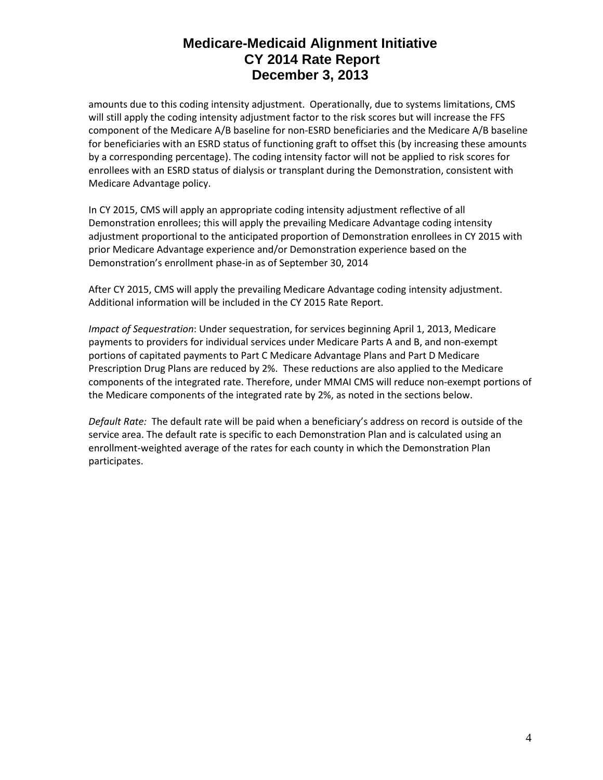amounts due to this coding intensity adjustment. Operationally, due to systems limitations, CMS will still apply the coding intensity adjustment factor to the risk scores but will increase the FFS component of the Medicare A/B baseline for non-ESRD beneficiaries and the Medicare A/B baseline for beneficiaries with an ESRD status of functioning graft to offset this (by increasing these amounts by a corresponding percentage). The coding intensity factor will not be applied to risk scores for enrollees with an ESRD status of dialysis or transplant during the Demonstration, consistent with Medicare Advantage policy.

In CY 2015, CMS will apply an appropriate coding intensity adjustment reflective of all Demonstration enrollees; this will apply the prevailing Medicare Advantage coding intensity adjustment proportional to the anticipated proportion of Demonstration enrollees in CY 2015 with prior Medicare Advantage experience and/or Demonstration experience based on the Demonstration's enrollment phase-in as of September 30, 2014

After CY 2015, CMS will apply the prevailing Medicare Advantage coding intensity adjustment. Additional information will be included in the CY 2015 Rate Report.

*Impact of Sequestration*: Under sequestration, for services beginning April 1, 2013, Medicare payments to providers for individual services under Medicare Parts A and B, and non-exempt portions of capitated payments to Part C Medicare Advantage Plans and Part D Medicare Prescription Drug Plans are reduced by 2%. These reductions are also applied to the Medicare components of the integrated rate. Therefore, under MMAI CMS will reduce non-exempt portions of the Medicare components of the integrated rate by 2%, as noted in the sections below.

*Default Rate:* The default rate will be paid when a beneficiary's address on record is outside of the service area. The default rate is specific to each Demonstration Plan and is calculated using an enrollment-weighted average of the rates for each county in which the Demonstration Plan participates.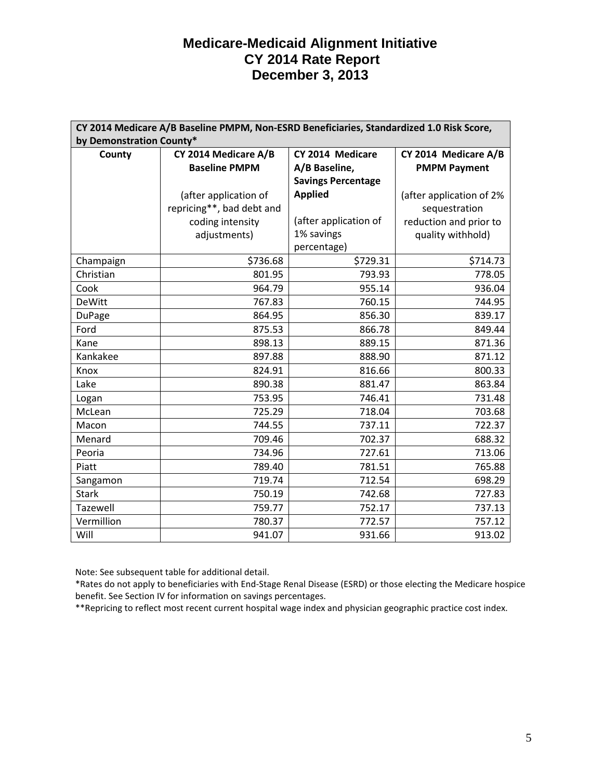| CY 2014 Medicare A/B Baseline PMPM, Non-ESRD Beneficiaries, Standardized 1.0 Risk Score, |                           |                           |                          |  |  |
|------------------------------------------------------------------------------------------|---------------------------|---------------------------|--------------------------|--|--|
| by Demonstration County*                                                                 |                           |                           |                          |  |  |
| County                                                                                   | CY 2014 Medicare A/B      | CY 2014 Medicare          | CY 2014 Medicare A/B     |  |  |
|                                                                                          | <b>Baseline PMPM</b>      | A/B Baseline,             | <b>PMPM Payment</b>      |  |  |
|                                                                                          |                           | <b>Savings Percentage</b> |                          |  |  |
|                                                                                          | (after application of     | <b>Applied</b>            | (after application of 2% |  |  |
|                                                                                          | repricing**, bad debt and |                           | sequestration            |  |  |
|                                                                                          | coding intensity          | (after application of     | reduction and prior to   |  |  |
|                                                                                          | adjustments)              | 1% savings                | quality withhold)        |  |  |
|                                                                                          |                           | percentage)               |                          |  |  |
| Champaign                                                                                | \$736.68                  | \$729.31                  | \$714.73                 |  |  |
| Christian                                                                                | 801.95                    | 793.93                    | 778.05                   |  |  |
| Cook                                                                                     | 964.79                    | 955.14                    | 936.04                   |  |  |
| <b>DeWitt</b>                                                                            | 767.83                    | 760.15                    | 744.95                   |  |  |
| <b>DuPage</b>                                                                            | 864.95                    | 856.30                    | 839.17                   |  |  |
| Ford                                                                                     | 875.53                    | 866.78                    | 849.44                   |  |  |
| Kane                                                                                     | 898.13                    | 889.15                    | 871.36                   |  |  |
| Kankakee                                                                                 | 897.88                    | 888.90                    | 871.12                   |  |  |
| Knox                                                                                     | 824.91                    | 816.66                    | 800.33                   |  |  |
| Lake                                                                                     | 890.38                    | 881.47                    | 863.84                   |  |  |
| Logan                                                                                    | 753.95                    | 746.41                    | 731.48                   |  |  |
| McLean                                                                                   | 725.29                    | 718.04                    | 703.68                   |  |  |
| Macon                                                                                    | 744.55                    | 737.11                    | 722.37                   |  |  |
| Menard                                                                                   | 709.46                    | 702.37                    | 688.32                   |  |  |
| Peoria                                                                                   | 734.96                    | 727.61                    | 713.06                   |  |  |
| Piatt                                                                                    | 789.40                    | 781.51                    | 765.88                   |  |  |
| Sangamon                                                                                 | 719.74                    | 712.54                    | 698.29                   |  |  |
| <b>Stark</b>                                                                             | 750.19                    | 742.68                    | 727.83                   |  |  |
| Tazewell                                                                                 | 759.77                    | 752.17                    | 737.13                   |  |  |
| Vermillion                                                                               | 780.37                    | 772.57                    | 757.12                   |  |  |
| Will                                                                                     | 941.07                    | 931.66                    | 913.02                   |  |  |

Note: See subsequent table for additional detail.

\*Rates do not apply to beneficiaries with End-Stage Renal Disease (ESRD) or those electing the Medicare hospice benefit. See Section IV for information on savings percentages.

\*\*Repricing to reflect most recent current hospital wage index and physician geographic practice cost index.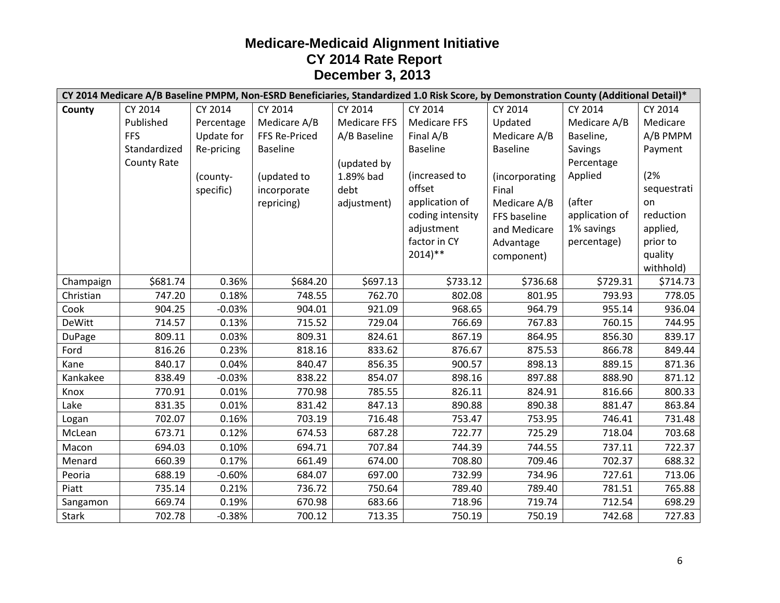|               | CY 2014 Medicare A/B Baseline PMPM, Non-ESRD Beneficiaries, Standardized 1.0 Risk Score, by Demonstration County (Additional Detail)* |            |                      |                     |                      |                 |                |             |
|---------------|---------------------------------------------------------------------------------------------------------------------------------------|------------|----------------------|---------------------|----------------------|-----------------|----------------|-------------|
| County        | CY 2014                                                                                                                               | CY 2014    | CY 2014              | CY 2014             | CY 2014              | CY 2014         | CY 2014        | CY 2014     |
|               | Published                                                                                                                             | Percentage | Medicare A/B         | <b>Medicare FFS</b> | <b>Medicare FFS</b>  | Updated         | Medicare A/B   | Medicare    |
|               | <b>FFS</b>                                                                                                                            | Update for | <b>FFS Re-Priced</b> | A/B Baseline        | Final A/B            | Medicare A/B    | Baseline,      | A/B PMPM    |
|               | Standardized                                                                                                                          | Re-pricing | <b>Baseline</b>      |                     | <b>Baseline</b>      | <b>Baseline</b> | Savings        | Payment     |
|               | <b>County Rate</b>                                                                                                                    |            |                      | (updated by         |                      |                 | Percentage     |             |
|               |                                                                                                                                       | (county-   | (updated to          | 1.89% bad           | (increased to        | (incorporating  | Applied        | (2%         |
|               |                                                                                                                                       | specific)  | incorporate          | debt                | offset               | Final           |                | sequestrati |
|               |                                                                                                                                       |            | repricing)           | adjustment)         | application of       | Medicare A/B    | (after         | on          |
|               |                                                                                                                                       |            |                      |                     | coding intensity     | FFS baseline    | application of | reduction   |
|               |                                                                                                                                       |            |                      |                     | adjustment           | and Medicare    | 1% savings     | applied,    |
|               |                                                                                                                                       |            |                      |                     | factor in CY         | Advantage       | percentage)    | prior to    |
|               |                                                                                                                                       |            |                      |                     | $2014$ <sup>**</sup> | component)      |                | quality     |
|               |                                                                                                                                       |            |                      |                     |                      |                 |                | withhold)   |
| Champaign     | \$681.74                                                                                                                              | 0.36%      | \$684.20             | \$697.13            | \$733.12             | \$736.68        | \$729.31       | \$714.73    |
| Christian     | 747.20                                                                                                                                | 0.18%      | 748.55               | 762.70              | 802.08               | 801.95          | 793.93         | 778.05      |
| Cook          | 904.25                                                                                                                                | $-0.03%$   | 904.01               | 921.09              | 968.65               | 964.79          | 955.14         | 936.04      |
| <b>DeWitt</b> | 714.57                                                                                                                                | 0.13%      | 715.52               | 729.04              | 766.69               | 767.83          | 760.15         | 744.95      |
| <b>DuPage</b> | 809.11                                                                                                                                | 0.03%      | 809.31               | 824.61              | 867.19               | 864.95          | 856.30         | 839.17      |
| Ford          | 816.26                                                                                                                                | 0.23%      | 818.16               | 833.62              | 876.67               | 875.53          | 866.78         | 849.44      |
| Kane          | 840.17                                                                                                                                | 0.04%      | 840.47               | 856.35              | 900.57               | 898.13          | 889.15         | 871.36      |
| Kankakee      | 838.49                                                                                                                                | $-0.03%$   | 838.22               | 854.07              | 898.16               | 897.88          | 888.90         | 871.12      |
| Knox          | 770.91                                                                                                                                | 0.01%      | 770.98               | 785.55              | 826.11               | 824.91          | 816.66         | 800.33      |
| Lake          | 831.35                                                                                                                                | 0.01%      | 831.42               | 847.13              | 890.88               | 890.38          | 881.47         | 863.84      |
| Logan         | 702.07                                                                                                                                | 0.16%      | 703.19               | 716.48              | 753.47               | 753.95          | 746.41         | 731.48      |
| McLean        | 673.71                                                                                                                                | 0.12%      | 674.53               | 687.28              | 722.77               | 725.29          | 718.04         | 703.68      |
| Macon         | 694.03                                                                                                                                | 0.10%      | 694.71               | 707.84              | 744.39               | 744.55          | 737.11         | 722.37      |
| Menard        | 660.39                                                                                                                                | 0.17%      | 661.49               | 674.00              | 708.80               | 709.46          | 702.37         | 688.32      |
| Peoria        | 688.19                                                                                                                                | $-0.60%$   | 684.07               | 697.00              | 732.99               | 734.96          | 727.61         | 713.06      |
| Piatt         | 735.14                                                                                                                                | 0.21%      | 736.72               | 750.64              | 789.40               | 789.40          | 781.51         | 765.88      |
| Sangamon      | 669.74                                                                                                                                | 0.19%      | 670.98               | 683.66              | 718.96               | 719.74          | 712.54         | 698.29      |
| <b>Stark</b>  | 702.78                                                                                                                                | $-0.38%$   | 700.12               | 713.35              | 750.19               | 750.19          | 742.68         | 727.83      |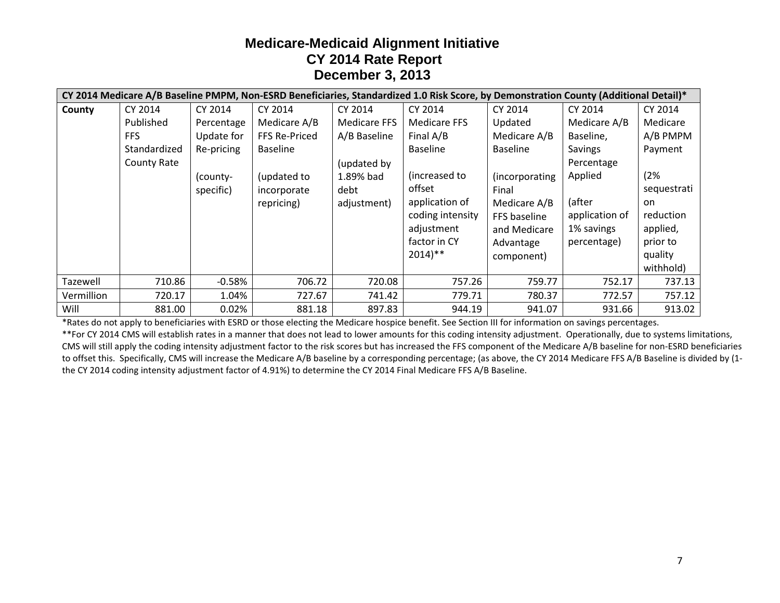|            | CY 2014 Medicare A/B Baseline PMPM, Non-ESRD Beneficiaries, Standardized 1.0 Risk Score, by Demonstration County (Additional Detail)* |            |                 |                     |                      |                 |                |             |
|------------|---------------------------------------------------------------------------------------------------------------------------------------|------------|-----------------|---------------------|----------------------|-----------------|----------------|-------------|
| County     | CY 2014                                                                                                                               | CY 2014    | CY 2014         | CY 2014             | CY 2014              | CY 2014         | CY 2014        | CY 2014     |
|            | Published                                                                                                                             | Percentage | Medicare A/B    | <b>Medicare FFS</b> | <b>Medicare FFS</b>  | Updated         | Medicare A/B   | Medicare    |
|            | FFS                                                                                                                                   | Update for | FFS Re-Priced   | A/B Baseline        | Final A/B            | Medicare A/B    | Baseline,      | A/B PMPM    |
|            | Standardized                                                                                                                          | Re-pricing | <b>Baseline</b> |                     | <b>Baseline</b>      | <b>Baseline</b> | Savings        | Payment     |
|            | <b>County Rate</b>                                                                                                                    |            |                 | (updated by         |                      |                 | Percentage     |             |
|            |                                                                                                                                       | (county-   | (updated to     | 1.89% bad           | (increased to        | (incorporating  | Applied        | (2%         |
|            |                                                                                                                                       | specific)  | incorporate     | debt                | offset               | Final           |                | sequestrati |
|            |                                                                                                                                       |            | repricing)      | adjustment)         | application of       | Medicare A/B    | (after         | on          |
|            |                                                                                                                                       |            |                 |                     | coding intensity     | FFS baseline    | application of | reduction   |
|            |                                                                                                                                       |            |                 |                     | adjustment           | and Medicare    | 1% savings     | applied,    |
|            |                                                                                                                                       |            |                 |                     | factor in CY         | Advantage       | percentage)    | prior to    |
|            |                                                                                                                                       |            |                 |                     | $2014$ <sup>**</sup> | component)      |                | quality     |
|            |                                                                                                                                       |            |                 |                     |                      |                 |                | withhold)   |
| Tazewell   | 710.86                                                                                                                                | $-0.58%$   | 706.72          | 720.08              | 757.26               | 759.77          | 752.17         | 737.13      |
| Vermillion | 720.17                                                                                                                                | 1.04%      | 727.67          | 741.42              | 779.71               | 780.37          | 772.57         | 757.12      |
| Will       | 881.00                                                                                                                                | 0.02%      | 881.18          | 897.83              | 944.19               | 941.07          | 931.66         | 913.02      |

\*Rates do not apply to beneficiaries with ESRD or those electing the Medicare hospice benefit. See Section III for information on savings percentages.

\*\*For CY 2014 CMS will establish rates in a manner that does not lead to lower amounts for this coding intensity adjustment. Operationally, due to systems limitations, CMS will still apply the coding intensity adjustment factor to the risk scores but has increased the FFS component of the Medicare A/B baseline for non-ESRD beneficiaries to offset this. Specifically, CMS will increase the Medicare A/B baseline by a corresponding percentage; (as above, the CY 2014 Medicare FFS A/B Baseline is divided by (1 the CY 2014 coding intensity adjustment factor of 4.91%) to determine the CY 2014 Final Medicare FFS A/B Baseline.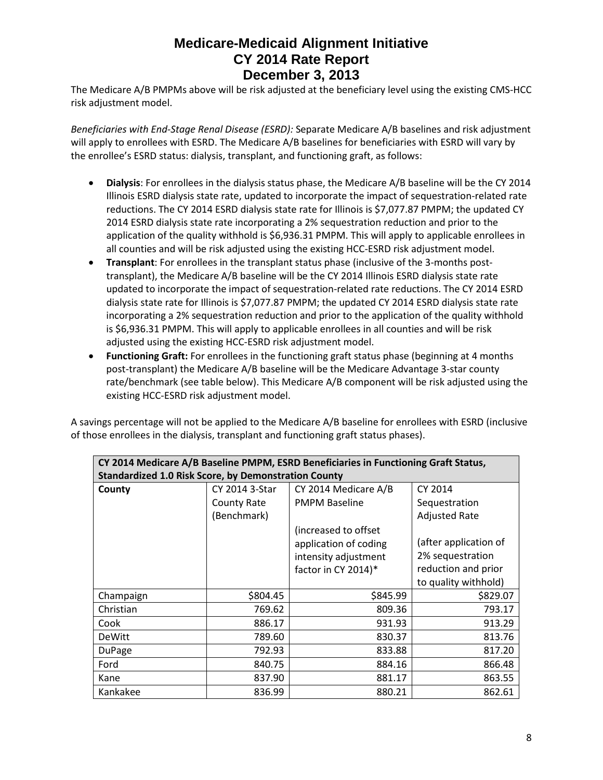The Medicare A/B PMPMs above will be risk adjusted at the beneficiary level using the existing CMS-HCC risk adjustment model.

*Beneficiaries with End-Stage Renal Disease (ESRD):* Separate Medicare A/B baselines and risk adjustment will apply to enrollees with ESRD. The Medicare A/B baselines for beneficiaries with ESRD will vary by the enrollee's ESRD status: dialysis, transplant, and functioning graft, as follows:

- **Dialysis**: For enrollees in the dialysis status phase, the Medicare A/B baseline will be the CY 2014 Illinois ESRD dialysis state rate, updated to incorporate the impact of sequestration-related rate reductions. The CY 2014 ESRD dialysis state rate for Illinois is \$7,077.87 PMPM; the updated CY 2014 ESRD dialysis state rate incorporating a 2% sequestration reduction and prior to the application of the quality withhold is \$6,936.31 PMPM. This will apply to applicable enrollees in all counties and will be risk adjusted using the existing HCC-ESRD risk adjustment model.
- **Transplant**: For enrollees in the transplant status phase (inclusive of the 3-months posttransplant), the Medicare A/B baseline will be the CY 2014 Illinois ESRD dialysis state rate updated to incorporate the impact of sequestration-related rate reductions. The CY 2014 ESRD dialysis state rate for Illinois is \$7,077.87 PMPM; the updated CY 2014 ESRD dialysis state rate incorporating a 2% sequestration reduction and prior to the application of the quality withhold is \$6,936.31 PMPM. This will apply to applicable enrollees in all counties and will be risk adjusted using the existing HCC-ESRD risk adjustment model.
- **Functioning Graft:** For enrollees in the functioning graft status phase (beginning at 4 months post-transplant) the Medicare A/B baseline will be the Medicare Advantage 3-star county rate/benchmark (see table below). This Medicare A/B component will be risk adjusted using the existing HCC-ESRD risk adjustment model.

A savings percentage will not be applied to the Medicare A/B baseline for enrollees with ESRD (inclusive of those enrollees in the dialysis, transplant and functioning graft status phases).

| CY 2014 Medicare A/B Baseline PMPM, ESRD Beneficiaries in Functioning Graft Status, |                |                       |                       |  |
|-------------------------------------------------------------------------------------|----------------|-----------------------|-----------------------|--|
| <b>Standardized 1.0 Risk Score, by Demonstration County</b>                         |                |                       |                       |  |
| County                                                                              | CY 2014 3-Star | CY 2014 Medicare A/B  | CY 2014               |  |
|                                                                                     | County Rate    | <b>PMPM Baseline</b>  | Sequestration         |  |
|                                                                                     | (Benchmark)    |                       | <b>Adjusted Rate</b>  |  |
|                                                                                     |                | (increased to offset  |                       |  |
|                                                                                     |                | application of coding | (after application of |  |
|                                                                                     |                | intensity adjustment  | 2% sequestration      |  |
|                                                                                     |                | factor in CY 2014)*   | reduction and prior   |  |
|                                                                                     |                |                       | to quality withhold)  |  |
| Champaign                                                                           | \$804.45       | \$845.99              | \$829.07              |  |
| Christian                                                                           | 769.62         | 809.36                | 793.17                |  |
| Cook                                                                                | 886.17         | 931.93                | 913.29                |  |
| <b>DeWitt</b>                                                                       | 789.60         | 830.37                | 813.76                |  |
| <b>DuPage</b>                                                                       | 792.93         | 833.88                | 817.20                |  |
| Ford                                                                                | 840.75         | 884.16                | 866.48                |  |
| Kane                                                                                | 837.90         | 881.17                | 863.55                |  |
| Kankakee                                                                            | 836.99         | 880.21                | 862.61                |  |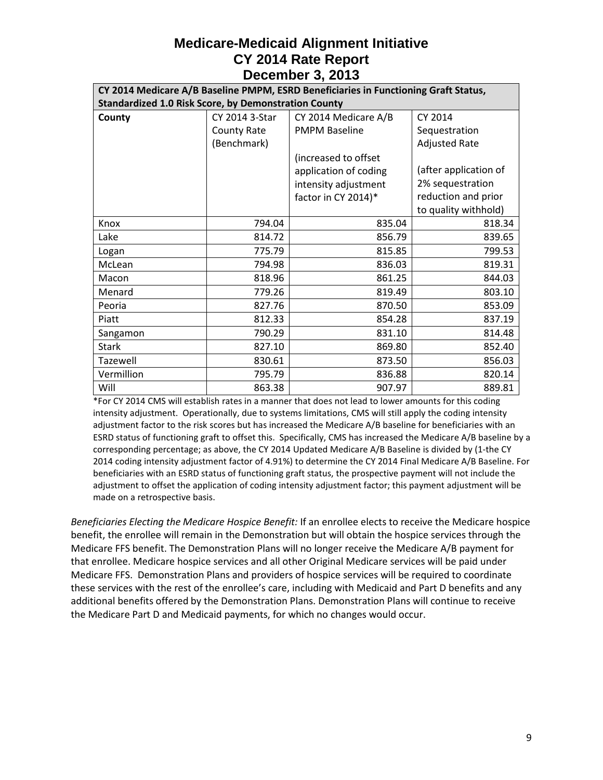| CY 2014 Medicare A/B Baseline PMPM, ESRD Beneficiaries in Functioning Graft Status, |                |                       |                       |  |
|-------------------------------------------------------------------------------------|----------------|-----------------------|-----------------------|--|
| <b>Standardized 1.0 Risk Score, by Demonstration County</b>                         |                |                       |                       |  |
| County                                                                              | CY 2014 3-Star | CY 2014 Medicare A/B  | CY 2014               |  |
|                                                                                     | County Rate    | <b>PMPM Baseline</b>  | Sequestration         |  |
|                                                                                     | (Benchmark)    |                       | <b>Adjusted Rate</b>  |  |
|                                                                                     |                | (increased to offset  |                       |  |
|                                                                                     |                | application of coding | (after application of |  |
|                                                                                     |                | intensity adjustment  | 2% sequestration      |  |
|                                                                                     |                | factor in CY 2014)*   | reduction and prior   |  |
|                                                                                     |                |                       | to quality withhold)  |  |
| Knox                                                                                | 794.04         | 835.04                | 818.34                |  |
| Lake                                                                                | 814.72         | 856.79                | 839.65                |  |
| Logan                                                                               | 775.79         | 815.85                | 799.53                |  |
| McLean                                                                              | 794.98         | 836.03                | 819.31                |  |
| Macon                                                                               | 818.96         | 861.25                | 844.03                |  |
| Menard                                                                              | 779.26         | 819.49                | 803.10                |  |
| Peoria                                                                              | 827.76         | 870.50                | 853.09                |  |
| Piatt                                                                               | 812.33         | 854.28                | 837.19                |  |
| Sangamon                                                                            | 790.29         | 831.10                | 814.48                |  |
| <b>Stark</b>                                                                        | 827.10         | 869.80                | 852.40                |  |
| Tazewell                                                                            | 830.61         | 873.50                | 856.03                |  |
| Vermillion                                                                          | 795.79         | 836.88                | 820.14                |  |
| Will                                                                                | 863.38         | 907.97                | 889.81                |  |

\*For CY 2014 CMS will establish rates in a manner that does not lead to lower amounts for this coding intensity adjustment. Operationally, due to systems limitations, CMS will still apply the coding intensity adjustment factor to the risk scores but has increased the Medicare A/B baseline for beneficiaries with an ESRD status of functioning graft to offset this. Specifically, CMS has increased the Medicare A/B baseline by a corresponding percentage; as above, the CY 2014 Updated Medicare A/B Baseline is divided by (1-the CY 2014 coding intensity adjustment factor of 4.91%) to determine the CY 2014 Final Medicare A/B Baseline. For beneficiaries with an ESRD status of functioning graft status, the prospective payment will not include the adjustment to offset the application of coding intensity adjustment factor; this payment adjustment will be made on a retrospective basis.

*Beneficiaries Electing the Medicare Hospice Benefit:* If an enrollee elects to receive the Medicare hospice benefit, the enrollee will remain in the Demonstration but will obtain the hospice services through the Medicare FFS benefit. The Demonstration Plans will no longer receive the Medicare A/B payment for that enrollee. Medicare hospice services and all other Original Medicare services will be paid under Medicare FFS. Demonstration Plans and providers of hospice services will be required to coordinate these services with the rest of the enrollee's care, including with Medicaid and Part D benefits and any additional benefits offered by the Demonstration Plans. Demonstration Plans will continue to receive the Medicare Part D and Medicaid payments, for which no changes would occur.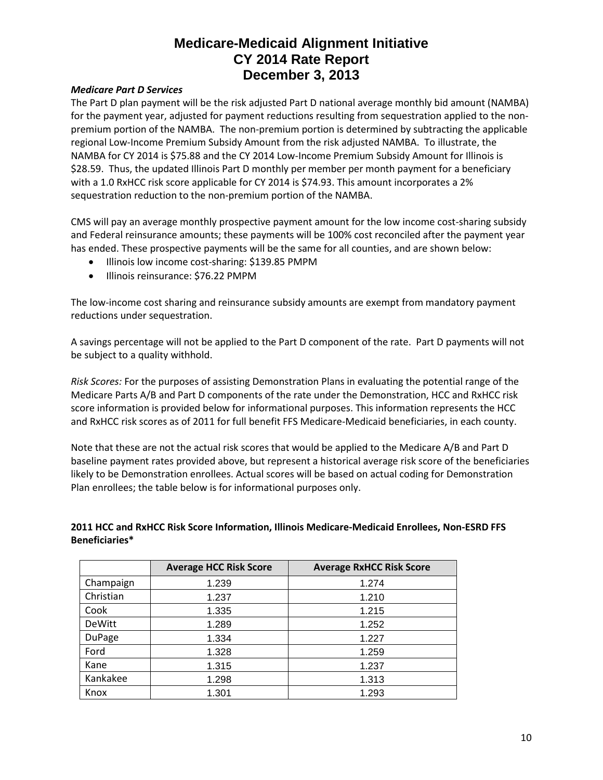#### *Medicare Part D Services*

The Part D plan payment will be the risk adjusted Part D national average monthly bid amount (NAMBA) for the payment year, adjusted for payment reductions resulting from sequestration applied to the nonpremium portion of the NAMBA. The non-premium portion is determined by subtracting the applicable regional Low-Income Premium Subsidy Amount from the risk adjusted NAMBA. To illustrate, the NAMBA for CY 2014 is \$75.88 and the CY 2014 Low-Income Premium Subsidy Amount for Illinois is \$28.59. Thus, the updated Illinois Part D monthly per member per month payment for a beneficiary with a 1.0 RxHCC risk score applicable for CY 2014 is \$74.93. This amount incorporates a 2% sequestration reduction to the non-premium portion of the NAMBA.

CMS will pay an average monthly prospective payment amount for the low income cost-sharing subsidy and Federal reinsurance amounts; these payments will be 100% cost reconciled after the payment year has ended. These prospective payments will be the same for all counties, and are shown below:

- Illinois low income cost-sharing: \$139.85 PMPM
- Illinois reinsurance: \$76.22 PMPM

The low-income cost sharing and reinsurance subsidy amounts are exempt from mandatory payment reductions under sequestration.

A savings percentage will not be applied to the Part D component of the rate. Part D payments will not be subject to a quality withhold.

*Risk Scores:* For the purposes of assisting Demonstration Plans in evaluating the potential range of the Medicare Parts A/B and Part D components of the rate under the Demonstration, HCC and RxHCC risk score information is provided below for informational purposes. This information represents the HCC and RxHCC risk scores as of 2011 for full benefit FFS Medicare-Medicaid beneficiaries, in each county.

Note that these are not the actual risk scores that would be applied to the Medicare A/B and Part D baseline payment rates provided above, but represent a historical average risk score of the beneficiaries likely to be Demonstration enrollees. Actual scores will be based on actual coding for Demonstration Plan enrollees; the table below is for informational purposes only.

#### **2011 HCC and RxHCC Risk Score Information, Illinois Medicare-Medicaid Enrollees, Non-ESRD FFS Beneficiaries\***

|               | <b>Average HCC Risk Score</b> | <b>Average RxHCC Risk Score</b> |
|---------------|-------------------------------|---------------------------------|
| Champaign     | 1.239                         | 1.274                           |
| Christian     | 1.237                         | 1.210                           |
| Cook          | 1.335                         | 1.215                           |
| <b>DeWitt</b> | 1.289                         | 1.252                           |
| <b>DuPage</b> | 1.334                         | 1.227                           |
| Ford          | 1.328                         | 1.259                           |
| Kane          | 1.315                         | 1.237                           |
| Kankakee      | 1.298                         | 1.313                           |
| Knox          | 1.301                         | 1.293                           |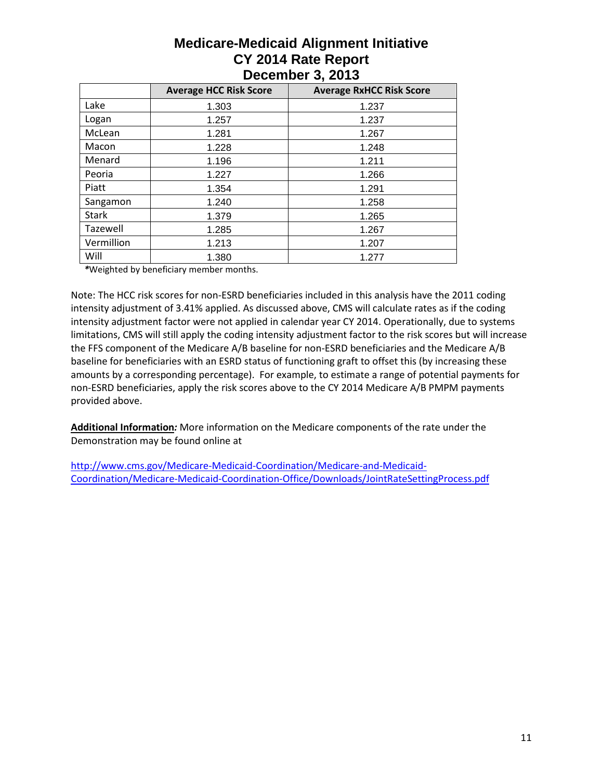|              | <b>Average HCC Risk Score</b> | <b>Average RxHCC Risk Score</b> |
|--------------|-------------------------------|---------------------------------|
| Lake         | 1.303                         | 1.237                           |
| Logan        | 1.257                         | 1.237                           |
| McLean       | 1.281                         | 1.267                           |
| Macon        | 1.228                         | 1.248                           |
| Menard       | 1.196                         | 1.211                           |
| Peoria       | 1.227                         | 1.266                           |
| Piatt        | 1.354                         | 1.291                           |
| Sangamon     | 1.240                         | 1.258                           |
| <b>Stark</b> | 1.379                         | 1.265                           |
| Tazewell     | 1.285                         | 1.267                           |
| Vermillion   | 1.213                         | 1.207                           |
| Will         | 1.380                         | 1.277                           |

*\**Weighted by beneficiary member months.

Note: The HCC risk scores for non-ESRD beneficiaries included in this analysis have the 2011 coding intensity adjustment of 3.41% applied. As discussed above, CMS will calculate rates as if the coding intensity adjustment factor were not applied in calendar year CY 2014. Operationally, due to systems limitations, CMS will still apply the coding intensity adjustment factor to the risk scores but will increase the FFS component of the Medicare A/B baseline for non-ESRD beneficiaries and the Medicare A/B baseline for beneficiaries with an ESRD status of functioning graft to offset this (by increasing these amounts by a corresponding percentage). For example, to estimate a range of potential payments for non-ESRD beneficiaries, apply the risk scores above to the CY 2014 Medicare A/B PMPM payments provided above.

**Additional Information***:* More information on the Medicare components of the rate under the Demonstration may be found online at

[http://www.cms.gov/Medicare-Medicaid-Coordination/Medicare-and-Medicaid-](http://www.cms.gov/Medicare-Medicaid-Coordination/Medicare-and-Medicaid-Coordination/Medicare-Medicaid-Coordination-Office/Downloads/JointRateSettingProcess.pdf)[Coordination/Medicare-Medicaid-Coordination-Office/Downloads/JointRateSettingProcess.pdf](http://www.cms.gov/Medicare-Medicaid-Coordination/Medicare-and-Medicaid-Coordination/Medicare-Medicaid-Coordination-Office/Downloads/JointRateSettingProcess.pdf)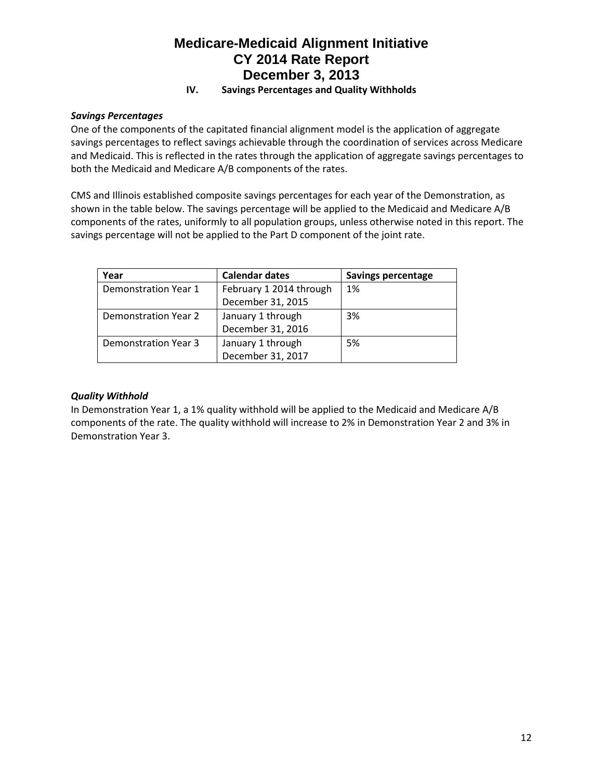#### **IV. Savings Percentages and Quality Withholds**

#### *Savings Percentages*

One of the components of the capitated financial alignment model is the application of aggregate savings percentages to reflect savings achievable through the coordination of services across Medicare and Medicaid. This is reflected in the rates through the application of aggregate savings percentages to both the Medicaid and Medicare A/B components of the rates.

CMS and Illinois established composite savings percentages for each year of the Demonstration, as shown in the table below. The savings percentage will be applied to the Medicaid and Medicare A/B components of the rates, uniformly to all population groups, unless otherwise noted in this report. The savings percentage will not be applied to the Part D component of the joint rate.

| Year                 | <b>Calendar dates</b>   | <b>Savings percentage</b> |
|----------------------|-------------------------|---------------------------|
| Demonstration Year 1 | February 1 2014 through | 1%                        |
|                      | December 31, 2015       |                           |
| Demonstration Year 2 | January 1 through       | 3%                        |
|                      | December 31, 2016       |                           |
| Demonstration Year 3 | January 1 through       | 5%                        |
|                      | December 31, 2017       |                           |

#### *Quality Withhold*

In Demonstration Year 1, a 1% quality withhold will be applied to the Medicaid and Medicare A/B components of the rate. The quality withhold will increase to 2% in Demonstration Year 2 and 3% in Demonstration Year 3.